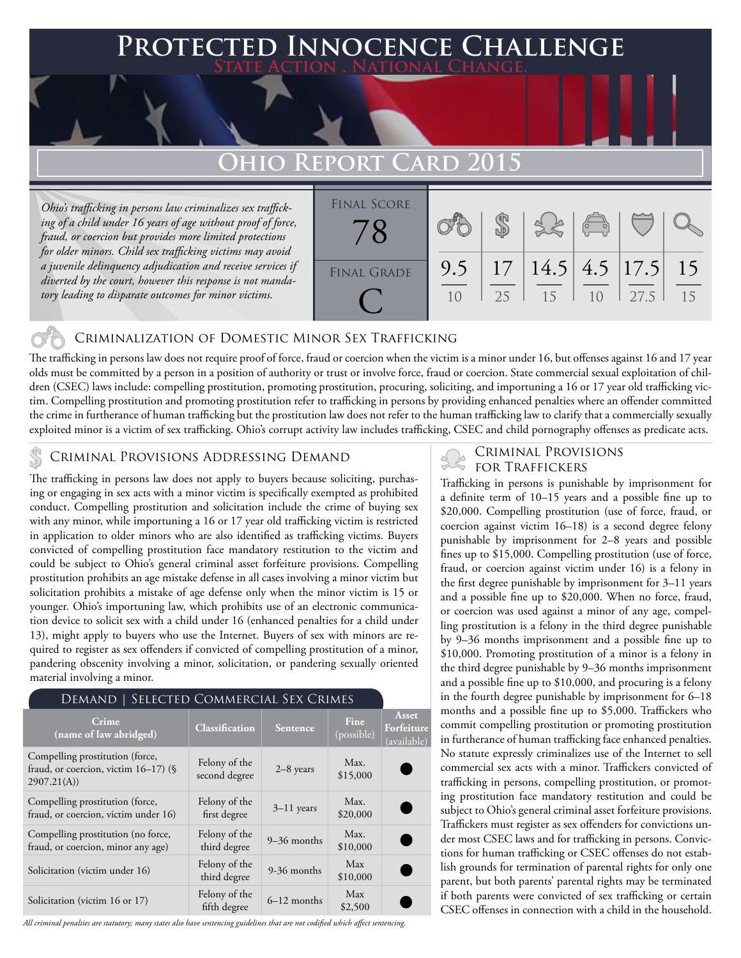### **Protected Innocence Challenge State Action . National Change.**

## **Ohio Report Card 2015**

*Ohio's trafficking in persons law criminalizes sex trafficking of a child under 16 years of age without proof of force, fraud, or coercion but provides more limited protections for older minors. Child sex trafficking victims may avoid a juvenile delinquency adjudication and receive services if diverted by the court, however this response is not mandatory leading to disparate outcomes for minor victims.*



#### Criminalization of Domestic Minor Sex Trafficking

The trafficking in persons law does not require proof of force, fraud or coercion when the victim is a minor under 16, but offenses against 16 and 17 year olds must be committed by a person in a position of authority or trust or involve force, fraud or coercion. State commercial sexual exploitation of children (CSEC) laws include: compelling prostitution, promoting prostitution, procuring, soliciting, and importuning a 16 or 17 year old trafficking victim. Compelling prostitution and promoting prostitution refer to trafficking in persons by providing enhanced penalties where an offender committed the crime in furtherance of human trafficking but the prostitution law does not refer to the human trafficking law to clarify that a commercially sexually exploited minor is a victim of sex trafficking. Ohio's corrupt activity law includes trafficking, CSEC and child pornography offenses as predicate acts.

### CRIMINAL PROVISIONS ADDRESSING DEMAND<br>FOR TRAFFICKERS

The trafficking in persons law does not apply to buyers because soliciting, purchasing or engaging in sex acts with a minor victim is specifically exempted as prohibited conduct. Compelling prostitution and solicitation include the crime of buying sex with any minor, while importuning a 16 or 17 year old trafficking victim is restricted in application to older minors who are also identified as trafficking victims. Buyers convicted of compelling prostitution face mandatory restitution to the victim and could be subject to Ohio's general criminal asset forfeiture provisions. Compelling prostitution prohibits an age mistake defense in all cases involving a minor victim but solicitation prohibits a mistake of age defense only when the minor victim is 15 or younger. Ohio's importuning law, which prohibits use of an electronic communication device to solicit sex with a child under 16 (enhanced penalties for a child under 13), might apply to buyers who use the Internet. Buyers of sex with minors are required to register as sex offenders if convicted of compelling prostitution of a minor, pandering obscenity involving a minor, solicitation, or pandering sexually oriented material involving a minor.

#### Demand | Selected Commercial Sex Crimes

| Crime<br>(name of law abridged)                                                          | <b>Classification</b>          | <b>Sentence</b> | Fine<br>(possible) | Asset<br>Forfeiture<br>(available) |
|------------------------------------------------------------------------------------------|--------------------------------|-----------------|--------------------|------------------------------------|
| Compelling prostitution (force,<br>fraud, or coercion, victim $16-17$ ) (§<br>2907.21(A) | Felony of the<br>second degree | $2-8$ years     | Max.<br>\$15,000   |                                    |
| Compelling prostitution (force,<br>fraud, or coercion, victim under 16)                  | Felony of the<br>first degree  | $3-11$ years    | Max.<br>\$20,000   |                                    |
| Compelling prostitution (no force,<br>fraud, or coercion, minor any age)                 | Felony of the<br>third degree  | $9-36$ months   | Max.<br>\$10,000   |                                    |
| Solicitation (victim under 16)                                                           | Felony of the<br>third degree  | 9-36 months     | Max<br>\$10,000    |                                    |
| Solicitation (victim 16 or 17)                                                           | Felony of the<br>fifth degree  | $6-12$ months   | Max<br>\$2,500     |                                    |

*All criminal penalties are statutory; many states also have sentencing guidelines that are not codified which affect sentencing.* 

# Criminal Provisions

Trafficking in persons is punishable by imprisonment for a definite term of 10–15 years and a possible fine up to \$20,000. Compelling prostitution (use of force, fraud, or coercion against victim 16–18) is a second degree felony punishable by imprisonment for 2–8 years and possible fines up to \$15,000. Compelling prostitution (use of force, fraud, or coercion against victim under 16) is a felony in the first degree punishable by imprisonment for 3–11 years and a possible fine up to \$20,000. When no force, fraud, or coercion was used against a minor of any age, compelling prostitution is a felony in the third degree punishable by 9–36 months imprisonment and a possible fine up to \$10,000. Promoting prostitution of a minor is a felony in the third degree punishable by 9–36 months imprisonment and a possible fine up to \$10,000, and procuring is a felony in the fourth degree punishable by imprisonment for 6–18 months and a possible fine up to \$5,000. Traffickers who commit compelling prostitution or promoting prostitution in furtherance of human trafficking face enhanced penalties. No statute expressly criminalizes use of the Internet to sell commercial sex acts with a minor. Traffickers convicted of trafficking in persons, compelling prostitution, or promoting prostitution face mandatory restitution and could be subject to Ohio's general criminal asset forfeiture provisions. Traffickers must register as sex offenders for convictions under most CSEC laws and for trafficking in persons. Convictions for human trafficking or CSEC offenses do not establish grounds for termination of parental rights for only one parent, but both parents' parental rights may be terminated if both parents were convicted of sex trafficking or certain CSEC offenses in connection with a child in the household.